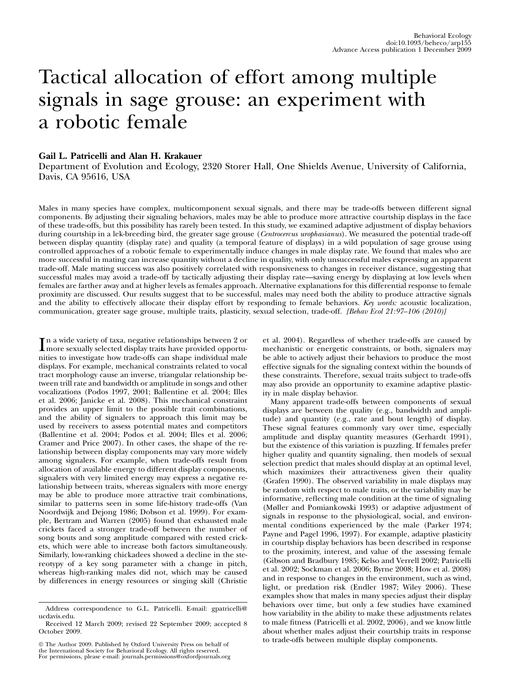# Tactical allocation of effort among multiple signals in sage grouse: an experiment with a robotic female

# Gail L. Patricelli and Alan H. Krakauer

Department of Evolution and Ecology, 2320 Storer Hall, One Shields Avenue, University of California, Davis, CA 95616, USA

Males in many species have complex, multicomponent sexual signals, and there may be trade-offs between different signal components. By adjusting their signaling behaviors, males may be able to produce more attractive courtship displays in the face of these trade-offs, but this possibility has rarely been tested. In this study, we examined adaptive adjustment of display behaviors during courtship in a lek-breeding bird, the greater sage grouse (Centrocercus urophasianus). We measured the potential trade-off between display quantity (display rate) and quality (a temporal feature of displays) in a wild population of sage grouse using controlled approaches of a robotic female to experimentally induce changes in male display rate. We found that males who are more successful in mating can increase quantity without a decline in quality, with only unsuccessful males expressing an apparent trade-off. Male mating success was also positively correlated with responsiveness to changes in receiver distance, suggesting that successful males may avoid a trade-off by tactically adjusting their display rate—saving energy by displaying at low levels when females are farther away and at higher levels as females approach. Alternative explanations for this differential response to female proximity are discussed. Our results suggest that to be successful, males may need both the ability to produce attractive signals and the ability to effectively allocate their display effort by responding to female behaviors. Key words: acoustic localization, communication, greater sage grouse, multiple traits, plasticity, sexual selection, trade-off. [Behav Ecol 21:97–106 (2010)]

In a wide variety of taxa, negative relationships between 2 or<br>
more sexually selected display traits have provided opportu-<br>
with the localization is also for the constant individual web n a wide variety of taxa, negative relationships between 2 or nities to investigate how trade-offs can shape individual male displays. For example, mechanical constraints related to vocal tract morphology cause an inverse, triangular relationship between trill rate and bandwidth or amplitude in songs and other vocalizations (Podos 1997, 2001; Ballentine et al. 2004; Illes et al. 2006; Janicke et al. 2008). This mechanical constraint provides an upper limit to the possible trait combinations, and the ability of signalers to approach this limit may be used by receivers to assess potential mates and competitors (Ballentine et al. 2004; Podos et al. 2004; Illes et al. 2006; Cramer and Price 2007). In other cases, the shape of the relationship between display components may vary more widely among signalers. For example, when trade-offs result from allocation of available energy to different display components, signalers with very limited energy may express a negative relationship between traits, whereas signalers with more energy may be able to produce more attractive trait combinations, similar to patterns seen in some life-history trade-offs (Van Noordwijk and Dejong 1986; Dobson et al. 1999). For example, Bertram and Warren (2005) found that exhausted male crickets faced a stronger trade-off between the number of song bouts and song amplitude compared with rested crickets, which were able to increase both factors simultaneously. Similarly, low-ranking chickadees showed a decline in the stereotypy of a key song parameter with a change in pitch, whereas high-ranking males did not, which may be caused by differences in energy resources or singing skill (Christie

 The Author 2009. Published by Oxford University Press on behalf of the International Society for Behavioral Ecology. All rights reserved. For permissions, please e-mail: journals.permissions@oxfordjournals.org et al. 2004). Regardless of whether trade-offs are caused by mechanistic or energetic constraints, or both, signalers may be able to actively adjust their behaviors to produce the most effective signals for the signaling context within the bounds of these constraints. Therefore, sexual traits subject to trade-offs may also provide an opportunity to examine adaptive plasticity in male display behavior.

Many apparent trade-offs between components of sexual displays are between the quality (e.g., bandwidth and amplitude) and quantity (e.g., rate and bout length) of display. These signal features commonly vary over time, especially amplitude and display quantity measures (Gerhardt 1991), but the existence of this variation is puzzling. If females prefer higher quality and quantity signaling, then models of sexual selection predict that males should display at an optimal level, which maximizes their attractiveness given their quality (Grafen 1990). The observed variability in male displays may be random with respect to male traits, or the variability may be informative, reflecting male condition at the time of signaling (Møller and Pomiankowski 1993) or adaptive adjustment of signals in response to the physiological, social, and environmental conditions experienced by the male (Parker 1974; Payne and Pagel 1996, 1997). For example, adaptive plasticity in courtship display behaviors has been described in response to the proximity, interest, and value of the assessing female (Gibson and Bradbury 1985; Kelso and Verrell 2002; Patricelli et al. 2002; Sockman et al. 2006; Byrne 2008; How et al. 2008) and in response to changes in the environment, such as wind, light, or predation risk (Endler 1987; Wiley 2006). These examples show that males in many species adjust their display behaviors over time, but only a few studies have examined how variability in the ability to make these adjustments relates to male fitness (Patricelli et al. 2002, 2006), and we know little about whether males adjust their courtship traits in response to trade-offs between multiple display components.

Address correspondence to G.L. Patricelli. E-mail: gpatricelli@ ucdavis.edu.

Received 12 March 2009; revised 22 September 2009; accepted 8 October 2009.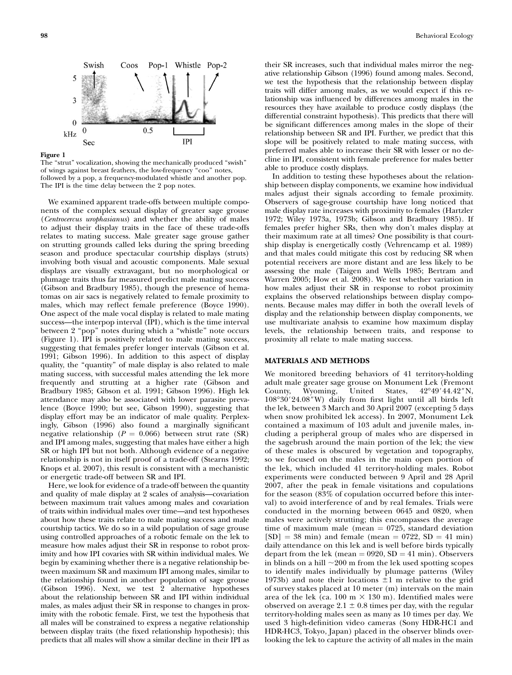

Figure 1

The "strut" vocalization, showing the mechanically produced "swish" of wings against breast feathers, the low-frequency ''coo'' notes, followed by a pop, a frequency-modulated whistle and another pop. The IPI is the time delay between the 2 pop notes.

We examined apparent trade-offs between multiple components of the complex sexual display of greater sage grouse (Centrocercus urophasianus) and whether the ability of males to adjust their display traits in the face of these trade-offs relates to mating success. Male greater sage grouse gather on strutting grounds called leks during the spring breeding season and produce spectacular courtship displays (struts) involving both visual and acoustic components. Male sexual displays are visually extravagant, but no morphological or plumage traits thus far measured predict male mating success (Gibson and Bradbury 1985), though the presence of hematomas on air sacs is negatively related to female proximity to males, which may reflect female preference (Boyce 1990). One aspect of the male vocal display is related to male mating success—the interpop interval (IPI), which is the time interval between 2 ''pop'' notes during which a ''whistle'' note occurs (Figure 1). IPI is positively related to male mating success, suggesting that females prefer longer intervals (Gibson et al. 1991; Gibson 1996). In addition to this aspect of display quality, the ''quantity'' of male display is also related to male mating success, with successful males attending the lek more frequently and strutting at a higher rate (Gibson and Bradbury 1985; Gibson et al. 1991; Gibson 1996). High lek attendance may also be associated with lower parasite prevalence (Boyce 1990; but see, Gibson 1990), suggesting that display effort may be an indicator of male quality. Perplexingly, Gibson (1996) also found a marginally significant negative relationship ( $P = 0.066$ ) between strut rate (SR) and IPI among males, suggesting that males have either a high SR or high IPI but not both. Although evidence of a negative relationship is not in itself proof of a trade-off (Stearns 1992; Knops et al. 2007), this result is consistent with a mechanistic or energetic trade-off between SR and IPI.

Here, we look for evidence of a trade-off between the quantity and quality of male display at 2 scales of analysis—covariation between maximum trait values among males and covariation of traits within individual males over time—and test hypotheses about how these traits relate to male mating success and male courtship tactics. We do so in a wild population of sage grouse using controlled approaches of a robotic female on the lek to measure how males adjust their SR in response to robot proximity and how IPI covaries with SR within individual males. We begin by examining whether there is a negative relationship between maximum SR and maximum IPI among males, similar to the relationship found in another population of sage grouse (Gibson 1996). Next, we test  $2$  alternative hypotheses about the relationship between SR and IPI within individual males, as males adjust their SR in response to changes in proximity with the robotic female. First, we test the hypothesis that all males will be constrained to express a negative relationship between display traits (the fixed relationship hypothesis); this predicts that all males will show a similar decline in their IPI as their SR increases, such that individual males mirror the negative relationship Gibson (1996) found among males. Second, we test the hypothesis that the relationship between display traits will differ among males, as we would expect if this relationship was influenced by differences among males in the resources they have available to produce costly displays (the differential constraint hypothesis). This predicts that there will be significant differences among males in the slope of their relationship between SR and IPI. Further, we predict that this slope will be positively related to male mating success, with preferred males able to increase their SR with lesser or no decline in IPI, consistent with female preference for males better able to produce costly displays.

In addition to testing these hypotheses about the relationship between display components, we examine how individual males adjust their signals according to female proximity. Observers of sage-grouse courtship have long noticed that male display rate increases with proximity to females (Hartzler 1972; Wiley 1973a, 1973b; Gibson and Bradbury 1985). If females prefer higher SRs, then why don't males display at their maximum rate at all times? One possibility is that courtship display is energetically costly (Vehrencamp et al. 1989) and that males could mitigate this cost by reducing SR when potential receivers are more distant and are less likely to be assessing the male (Taigen and Wells 1985; Bertram and Warren 2005; How et al. 2008). We test whether variation in how males adjust their SR in response to robot proximity explains the observed relationships between display components. Because males may differ in both the overall levels of display and the relationship between display components, we use multivariate analysis to examine how maximum display levels, the relationship between traits, and response to proximity all relate to male mating success.

## MATERIALS AND METHODS

We monitored breeding behaviors of 41 territory-holding adult male greater sage grouse on Monument Lek (Fremont County, Wyoming, United States,  $42^{\circ}49'44.42''$ N, 108°30'24.08"W) daily from first light until all birds left the lek, between 3 March and 30 April 2007 (excepting 5 days when snow prohibited lek access). In 2007, Monument Lek contained a maximum of 103 adult and juvenile males, including a peripheral group of males who are dispersed in the sagebrush around the main portion of the lek; the view of these males is obscured by vegetation and topography, so we focused on the males in the main open portion of the lek, which included 41 territory-holding males. Robot experiments were conducted between 9 April and 28 April 2007, after the peak in female visitations and copulations for the season (83% of copulation occurred before this interval) to avoid interference of and by real females. Trials were conducted in the morning between 0645 and 0820, when males were actively strutting; this encompasses the average time of maximum male (mean  $= 0725$ , standard deviation  $[SD] = 38$  min) and female (mean = 0722, SD = 41 min) daily attendance on this lek and is well before birds typically depart from the lek (mean  $= 0920$ , SD  $= 41$  min). Observers in blinds on a hill  $\sim$ 200 m from the lek used spotting scopes to identify males individually by plumage patterns (Wiley 1973b) and note their locations  $\pm 1$  m relative to the grid of survey stakes placed at 10 meter (m) intervals on the main area of the lek (ca. 100 m  $\times$  130 m). Identified males were observed on average  $2.1 \pm 0.8$  times per day, with the regular territory-holding males seen as many as 10 times per day. We used 3 high-definition video cameras (Sony HDR-HC1 and HDR-HC3, Tokyo, Japan) placed in the observer blinds overlooking the lek to capture the activity of all males in the main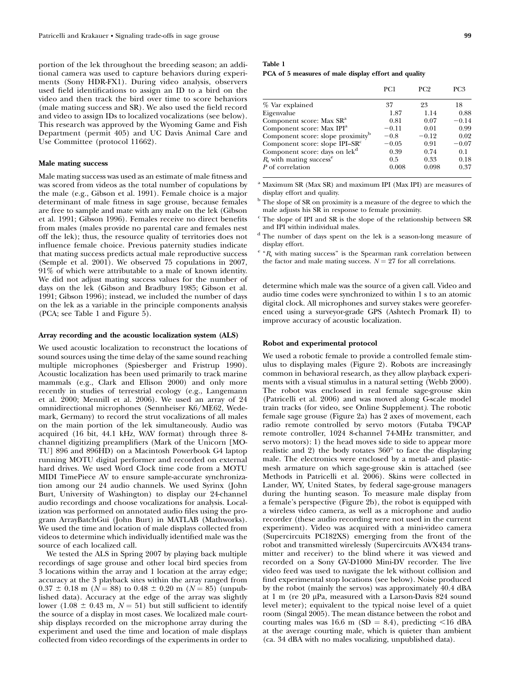portion of the lek throughout the breeding season; an additional camera was used to capture behaviors during experiments (Sony HDR-FX1). During video analysis, observers used field identifications to assign an ID to a bird on the video and then track the bird over time to score behaviors (male mating success and SR). We also used the field record and video to assign IDs to localized vocalizations (see below). This research was approved by the Wyoming Game and Fish Department (permit 405) and UC Davis Animal Care and Use Committee (protocol 11662).

## Male mating success

Male mating success was used as an estimate of male fitness and was scored from videos as the total number of copulations by the male (e.g., Gibson et al. 1991). Female choice is a major determinant of male fitness in sage grouse, because females are free to sample and mate with any male on the lek (Gibson et al. 1991; Gibson 1996). Females receive no direct benefits from males (males provide no parental care and females nest off the lek); thus, the resource quality of territories does not influence female choice. Previous paternity studies indicate that mating success predicts actual male reproductive success (Semple et al. 2001). We observed 75 copulations in 2007, 91% of which were attributable to a male of known identity. We did not adjust mating success values for the number of days on the lek (Gibson and Bradbury 1985; Gibson et al. 1991; Gibson 1996); instead, we included the number of days on the lek as a variable in the principle components analysis (PCA; see Table 1 and Figure 5).

#### Array recording and the acoustic localization system (ALS)

We used acoustic localization to reconstruct the locations of sound sources using the time delay of the same sound reaching multiple microphones (Spiesberger and Fristrup 1990). Acoustic localization has been used primarily to track marine mammals (e.g., Clark and Ellison 2000) and only more recently in studies of terrestrial ecology (e.g., Langemann et al. 2000; Mennill et al. 2006). We used an array of 24 omnidirectional microphones (Sennheiser K6/ME62, Wedemark, Germany) to record the strut vocalizations of all males on the main portion of the lek simultaneously. Audio was acquired (16 bit, 44.1 kHz, WAV format) through three 8 channel digitizing preamplifiers (Mark of the Unicorn [MO-TU] 896 and 896HD) on a Macintosh Powerbook G4 laptop running MOTU digital performer and recorded on external hard drives. We used Word Clock time code from a MOTU MIDI TimePiece AV to ensure sample-accurate synchronization among our 24 audio channels. We used Syrinx (John Burt, University of Washington) to display our 24-channel audio recordings and choose vocalizations for analysis. Localization was performed on annotated audio files using the program ArrayBatchGui (John Burt) in MATLAB (Mathworks). We used the time and location of male displays collected from videos to determine which individually identified male was the source of each localized call.

We tested the ALS in Spring 2007 by playing back multiple recordings of sage grouse and other local bird species from 3 locations within the array and 1 location at the array edge; accuracy at the 3 playback sites within the array ranged from  $0.37 \pm 0.18$  m ( $N = 88$ ) to 0.48  $\pm$  0.20 m ( $N = 85$ ) (unpublished data). Accuracy at the edge of the array was slightly lower (1.08  $\pm$  0.43 m, N = 51) but still sufficient to identify the source of a display in most cases. We localized male courtship displays recorded on the microphone array during the experiment and used the time and location of male displays collected from video recordings of the experiments in order to

#### Table 1

## PCA of 5 measures of male display effort and quality

|                                               | PC <sub>1</sub> | PC <sub>2</sub> | PC <sub>3</sub> |
|-----------------------------------------------|-----------------|-----------------|-----------------|
| % Var explained                               | 37              | 23              | 18              |
| Eigenvalue                                    | 1.87            | 1.14            | 0.88            |
| Component score: Max SR <sup>a</sup>          | 0.81            | 0.07            | $-0.14$         |
| Component score: Max IPI <sup>a</sup>         | $-0.11$         | 0.01            | 0.99            |
| Component score: slope proximity <sup>b</sup> | $-0.8$          | $-0.12$         | 0.02            |
| Component score: slope IPI-SR <sup>c</sup>    | $-0.05$         | 0.91            | $-0.07$         |
| Component score: days on lek <sup>d</sup>     | 0.39            | 0.74            | 0.1             |
| $R_s$ with mating success <sup>e</sup>        | 0.5             | 0.33            | 0.18            |
| P of correlation                              | 0.008           | 0.098           | 0.37            |

<sup>a</sup> Maximum SR (Max SR) and maximum IPI (Max IPI) are measures of display effort and quality.

 $^{\rm b}$  The slope of SR on proximity is a measure of the degree to which the male adjusts his SR in response to female proximity.

The slope of IPI and SR is the slope of the relationship between SR and IPI within individual males.

<sup>d</sup> The number of days spent on the lek is a season-long measure of display effort.

 $e<sup>e</sup>$  " $R<sub>s</sub>$  with mating success" is the Spearman rank correlation between the factor and male mating success.  $N = 27$  for all correlations.

determine which male was the source of a given call. Video and audio time codes were synchronized to within 1 s to an atomic digital clock. All microphones and survey stakes were georeferenced using a surveyor-grade GPS (Ashtech Promark II) to improve accuracy of acoustic localization.

#### Robot and experimental protocol

We used a robotic female to provide a controlled female stimulus to displaying males (Figure 2). Robots are increasingly common in behavioral research, as they allow playback experiments with a visual stimulus in a natural setting (Webb 2000). The robot was enclosed in real female sage-grouse skin (Patricelli et al. 2006) and was moved along G-scale model train tracks (for video, see Online Supplement). The robotic female sage grouse (Figure 2a) has 2 axes of movement, each radio remote controlled by servo motors (Futaba T9CAP remote controller, 1024 8-channel 74-MHz transmitter, and servo motors): 1) the head moves side to side to appear more realistic and 2) the body rotates  $360^{\circ}$  to face the displaying male. The electronics were enclosed by a metal- and plasticmesh armature on which sage-grouse skin is attached (see Methods in Patricelli et al. 2006). Skins were collected in Lander, WY, United States, by federal sage-grouse managers during the hunting season. To measure male display from a female's perspective (Figure 2b), the robot is equipped with a wireless video camera, as well as a microphone and audio recorder (these audio recording were not used in the current experiment). Video was acquired with a mini-video camera (Supercircuits PC182XS) emerging from the front of the robot and transmitted wirelessly (Supercircuits AVX434 transmitter and receiver) to the blind where it was viewed and recorded on a Sony GV-D1000 Mini-DV recorder. The live video feed was used to navigate the lek without collision and find experimental stop locations (see below). Noise produced by the robot (mainly the servos) was approximately 40.4 dBA at 1 m (re 20 *l*Pa, measured with a Larson-Davis 824 sound level meter); equivalent to the typical noise level of a quiet room (Singal 2005). The mean distance between the robot and courting males was 16.6 m (SD = 8.4), predicting  $\leq$ 16 dBA at the average courting male, which is quieter than ambient (ca. 34 dBA with no males vocalizing, unpublished data).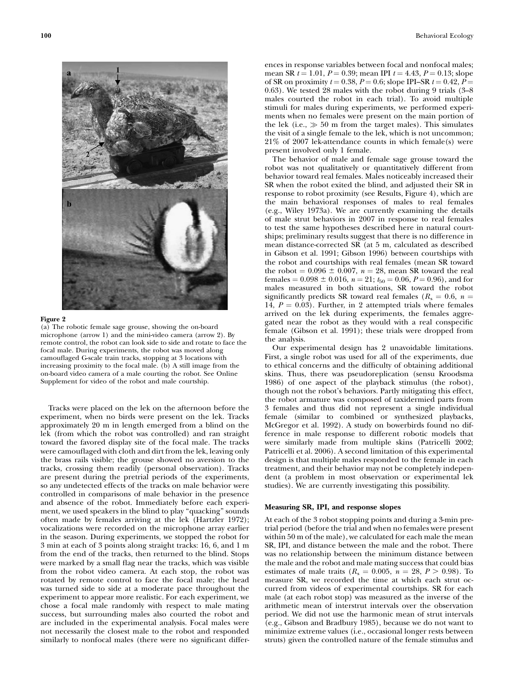

## Figure 2

(a) The robotic female sage grouse, showing the on-board microphone (arrow 1) and the mini-video camera (arrow 2). By remote control, the robot can look side to side and rotate to face the focal male. During experiments, the robot was moved along camouflaged G-scale train tracks, stopping at 3 locations with increasing proximity to the focal male. (b) A still image from the on-board video camera of a male courting the robot. See Online Supplement for video of the robot and male courtship.

Tracks were placed on the lek on the afternoon before the experiment, when no birds were present on the lek. Tracks approximately 20 m in length emerged from a blind on the lek (from which the robot was controlled) and ran straight toward the favored display site of the focal male. The tracks were camouflaged with cloth and dirt from the lek, leaving only the brass rails visible; the grouse showed no aversion to the tracks, crossing them readily (personal observation). Tracks are present during the pretrial periods of the experiments, so any undetected effects of the tracks on male behavior were controlled in comparisons of male behavior in the presence and absence of the robot. Immediately before each experiment, we used speakers in the blind to play ''quacking'' sounds often made by females arriving at the lek (Hartzler 1972); vocalizations were recorded on the microphone array earlier in the season. During experiments, we stopped the robot for 3 min at each of 3 points along straight tracks: 16, 6, and 1 m from the end of the tracks, then returned to the blind. Stops were marked by a small flag near the tracks, which was visible from the robot video camera. At each stop, the robot was rotated by remote control to face the focal male; the head was turned side to side at a moderate pace throughout the experiment to appear more realistic. For each experiment, we chose a focal male randomly with respect to male mating success, but surrounding males also courted the robot and are included in the experimental analysis. Focal males were not necessarily the closest male to the robot and responded similarly to nonfocal males (there were no significant differences in response variables between focal and nonfocal males; mean SR  $t = 1.01$ ,  $P = 0.39$ ; mean IPI  $t = 4.43$ ,  $P = 0.13$ ; slope of SR on proximity  $t = 0.38$ ,  $P = 0.6$ ; slope IPI–SR  $t = 0.42$ ,  $\overline{P} =$ 0.63). We tested 28 males with the robot during 9 trials (3–8 males courted the robot in each trial). To avoid multiple stimuli for males during experiments, we performed experiments when no females were present on the main portion of the lek (i.e.,  $\gg$  50 m from the target males). This simulates the visit of a single female to the lek, which is not uncommon; 21% of 2007 lek-attendance counts in which female(s) were present involved only 1 female.

The behavior of male and female sage grouse toward the robot was not qualitatively or quantitatively different from behavior toward real females. Males noticeably increased their SR when the robot exited the blind, and adjusted their SR in response to robot proximity (see Results, Figure 4), which are the main behavioral responses of males to real females (e.g., Wiley 1973a). We are currently examining the details of male strut behaviors in 2007 in response to real females to test the same hypotheses described here in natural courtships; preliminary results suggest that there is no difference in mean distance-corrected SR (at 5 m, calculated as described in Gibson et al. 1991; Gibson 1996) between courtships with the robot and courtships with real females (mean SR toward the robot =  $0.096 \pm 0.007$ ,  $n = 28$ , mean SR toward the real females =  $0.098 \pm 0.016$ ,  $n = 21$ ;  $t_{50} = 0.06$ ,  $P = 0.96$ ), and for males measured in both situations, SR toward the robot significantly predicts SR toward real females ( $R_s = 0.6$ ,  $n =$ 14,  $P = 0.03$ . Further, in 2 attempted trials where females arrived on the lek during experiments, the females aggregated near the robot as they would with a real conspecific female (Gibson et al. 1991); these trials were dropped from the analysis.

Our experimental design has 2 unavoidable limitations. First, a single robot was used for all of the experiments, due to ethical concerns and the difficulty of obtaining additional skins. Thus, there was pseudoreplication (sensu Kroodsma 1986) of one aspect of the playback stimulus (the robot), though not the robot's behaviors. Partly mitigating this effect, the robot armature was composed of taxidermied parts from 3 females and thus did not represent a single individual female (similar to combined or synthesized playbacks, McGregor et al. 1992). A study on bowerbirds found no difference in male response to different robotic models that were similarly made from multiple skins (Patricelli 2002; Patricelli et al. 2006). A second limitation of this experimental design is that multiple males responded to the female in each treatment, and their behavior may not be completely independent (a problem in most observation or experimental lek studies). We are currently investigating this possibility.

## Measuring SR, IPI, and response slopes

At each of the 3 robot stopping points and during a 3-min pretrial period (before the trial and when no females were present within 50 m of the male), we calculated for each male the mean SR, IPI, and distance between the male and the robot. There was no relationship between the minimum distance between the male and the robot and male mating success that could bias estimates of male traits ( $R_s = 0.005$ ,  $n = 28$ ,  $P > 0.98$ ). To measure SR, we recorded the time at which each strut occurred from videos of experimental courtships. SR for each male (at each robot stop) was measured as the inverse of the arithmetic mean of interstrut intervals over the observation period. We did not use the harmonic mean of strut intervals (e.g., Gibson and Bradbury 1985), because we do not want to minimize extreme values (i.e., occasional longer rests between struts) given the controlled nature of the female stimulus and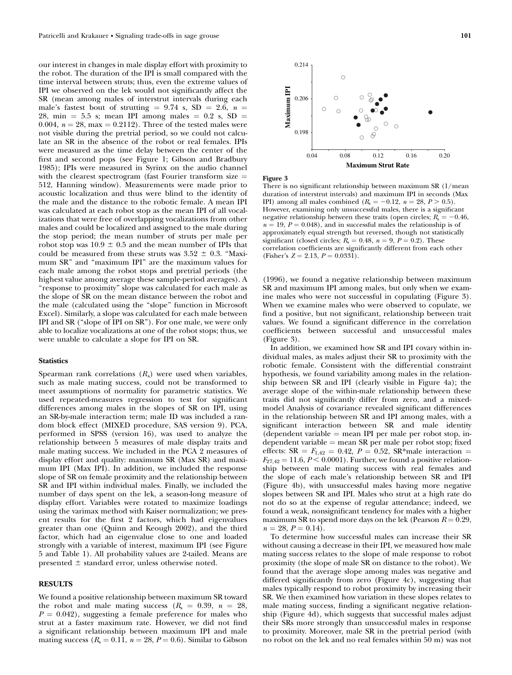our interest in changes in male display effort with proximity to the robot. The duration of the IPI is small compared with the time interval between struts; thus, even the extreme values of IPI we observed on the lek would not significantly affect the SR (mean among males of interstrut intervals during each male's fastest bout of strutting  $= 9.74$  s, SD  $= 2.6$ ,  $n =$ 28, min = 5.5 s; mean IPI among males =  $0.2$  s, SD = 0.004,  $n = 28$ , max = 0.2112). Three of the tested males were not visible during the pretrial period, so we could not calculate an SR in the absence of the robot or real females. IPIs were measured as the time delay between the center of the first and second pops (see Figure 1; Gibson and Bradbury 1985); IPIs were measured in Syrinx on the audio channel with the clearest spectrogram (fast Fourier transform size  $=$ 512, Hanning window). Measurements were made prior to acoustic localization and thus were blind to the identity of the male and the distance to the robotic female. A mean IPI was calculated at each robot stop as the mean IPI of all vocalizations that were free of overlapping vocalizations from other males and could be localized and assigned to the male during the stop period; the mean number of struts per male per robot stop was  $10.9 \pm 0.5$  and the mean number of IPIs that could be measured from these struts was  $3.52 \pm 0.3$ . "Maximum SR'' and ''maximum IPI'' are the maximum values for each male among the robot stops and pretrial periods (the highest value among average these sample-period averages). A ''response to proximity'' slope was calculated for each male as the slope of SR on the mean distance between the robot and the male (calculated using the ''slope'' function in Microsoft Excel). Similarly, a slope was calculated for each male between IPI and SR (''slope of IPI on SR''). For one male, we were only able to localize vocalizations at one of the robot stops; thus, we were unable to calculate a slope for IPI on SR.

#### **Statistics**

Spearman rank correlations  $(R_s)$  were used when variables, such as male mating success, could not be transformed to meet assumptions of normality for parametric statistics. We used repeated-measures regression to test for significant differences among males in the slopes of SR on IPI, using an SR-by-male interaction term; male ID was included a random block effect (MIXED procedure, SAS version 9). PCA, performed in SPSS (version 16), was used to analyze the relationship between 5 measures of male display traits and male mating success. We included in the PCA 2 measures of display effort and quality: maximum SR (Max SR) and maximum IPI (Max IPI). In addition, we included the response slope of SR on female proximity and the relationship between SR and IPI within individual males. Finally, we included the number of days spent on the lek, a season-long measure of display effort. Variables were rotated to maximize loadings using the varimax method with Kaiser normalization; we present results for the first 2 factors, which had eigenvalues greater than one (Quinn and Keough 2002), and the third factor, which had an eigenvalue close to one and loaded strongly with a variable of interest, maximum IPI (see Figure 5 and Table 1). All probability values are 2-tailed. Means are presented  $\pm$  standard error, unless otherwise noted.

# **RESULTS**

We found a positive relationship between maximum SR toward the robot and male mating success  $(R_s = 0.39, n = 28,$  $P = 0.042$ , suggesting a female preference for males who strut at a faster maximum rate. However, we did not find a significant relationship between maximum IPI and male mating success ( $R_s = 0.11$ ,  $n = 28$ ,  $P = 0.6$ ). Similar to Gibson



Figure 3

There is no significant relationship between maximum SR (1/mean duration of interstrut intervals) and maximum IPI in seconds (Max IPI) among all males combined  $(R_s = -0.12, n = 28, P > 0.5)$ . However, examining only unsuccessful males, there is a significant negative relationship between these traits (open circles;  $R_s = -0.46$ ,  $n = 19, P = 0.048$ , and in successful males the relationship is of approximately equal strength but reversed, though not statistically significant (closed circles;  $R_s = 0.48$ ,  $n = 9$ ,  $P = 0.2$ ). These correlation coefficients are significantly different from each other (Fisher's  $Z = 2.13$ ,  $P = 0.0331$ ).

(1996), we found a negative relationship between maximum SR and maximum IPI among males, but only when we examine males who were not successful in copulating (Figure 3). When we examine males who were observed to copulate, we find a positive, but not significant, relationship between trait values. We found a significant difference in the correlation coefficients between successful and unsuccessful males (Figure 3).

In addition, we examined how SR and IPI covary within individual males, as males adjust their SR to proximity with the robotic female. Consistent with the differential constraint hypothesis, we found variability among males in the relationship between SR and IPI (clearly visible in Figure 4a); the average slope of the within-male relationship between these traits did not significantly differ from zero, and a mixedmodel Analysis of covariance revealed significant differences in the relationship between SR and IPI among males, with a significant interaction between SR and male identity  $(dependent variable = mean IPI per male per robot stop, in$ dependent variable  $=$  mean SR per male per robot stop; fixed effects:  $SR = F_{1,42} = 0.42$ ,  $P = 0.52$ ,  $SR*$ male interaction =  $F_{27,42} = 11.6, P \le 0.0001$ . Further, we found a positive relationship between male mating success with real females and the slope of each male's relationship between SR and IPI (Figure 4b), with unsuccessful males having more negative slopes between SR and IPI. Males who strut at a high rate do not do so at the expense of regular attendance; indeed, we found a weak, nonsignificant tendency for males with a higher maximum SR to spend more days on the lek (Pearson  $R = 0.29$ ,  $n = 28, P = 0.14.$ 

To determine how successful males can increase their SR without causing a decrease in their IPI, we measured how male mating success relates to the slope of male response to robot proximity (the slope of male SR on distance to the robot). We found that the average slope among males was negative and differed significantly from zero (Figure 4c), suggesting that males typically respond to robot proximity by increasing their SR. We then examined how variation in these slopes relates to male mating success, finding a significant negative relationship (Figure 4d), which suggests that successful males adjust their SRs more strongly than unsuccessful males in response to proximity. Moreover, male SR in the pretrial period (with no robot on the lek and no real females within 50 m) was not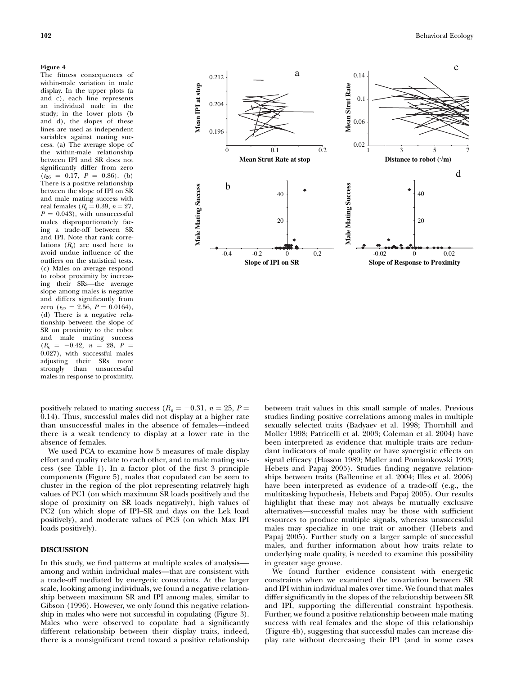### Figure 4

The fitness consequences of within-male variation in male display. In the upper plots (a and c), each line represents an individual male in the study; in the lower plots (b and d), the slopes of these lines are used as independent variables against mating success. (a) The average slope of the within-male relationship between IPI and SR does not significantly differ from zero  $(t_{26} = 0.17, P = 0.86)$ . (b) There is a positive relationship between the slope of IPI on SR and male mating success with real females ( $R_s = 0.39$ ,  $n = 27$ ,  $P = 0.043$ , with unsuccessful males disproportionately facing a trade-off between SR and IPI. Note that rank correlations  $(R_s)$  are used here to avoid undue influence of the outliers on the statistical tests. (c) Males on average respond to robot proximity by increasing their SRs—the average slope among males is negative and differs significantly from zero ( $t_{27} = 2.56$ ,  $P = 0.0164$ ), (d) There is a negative relationship between the slope of SR on proximity to the robot and male mating success  $(R_s = -0.42, n = 28, P =$ 0.027), with successful males adjusting their SRs more strongly than unsuccessful males in response to proximity.



positively related to mating success ( $R_s = -0.31$ ,  $n = 25$ ,  $P =$  $0.14$ ). Thus, successful males did not display at a higher rate than unsuccessful males in the absence of females—indeed there is a weak tendency to display at a lower rate in the absence of females.

We used PCA to examine how 5 measures of male display effort and quality relate to each other, and to male mating success (see Table 1). In a factor plot of the first 3 principle components (Figure 5), males that copulated can be seen to cluster in the region of the plot representing relatively high values of PC1 (on which maximum SR loads positively and the slope of proximity on SR loads negatively), high values of PC2 (on which slope of IPI–SR and days on the Lek load positively), and moderate values of PC3 (on which Max IPI loads positively).

## DISCUSSION

In this study, we find patterns at multiple scales of analysis— among and within individual males—that are consistent with a trade-off mediated by energetic constraints. At the larger scale, looking among individuals, we found a negative relationship between maximum SR and IPI among males, similar to Gibson (1996). However, we only found this negative relationship in males who were not successful in copulating (Figure 3). Males who were observed to copulate had a significantly different relationship between their display traits, indeed, there is a nonsignificant trend toward a positive relationship between trait values in this small sample of males. Previous studies finding positive correlations among males in multiple sexually selected traits (Badyaev et al. 1998; Thornhill and Moller 1998; Patricelli et al. 2003; Coleman et al. 2004) have been interpreted as evidence that multiple traits are redundant indicators of male quality or have synergistic effects on signal efficacy (Hasson 1989; Møller and Pomiankowski 1993; Hebets and Papaj 2005). Studies finding negative relationships between traits (Ballentine et al. 2004; Illes et al. 2006) have been interpreted as evidence of a trade-off (e.g., the multitasking hypothesis, Hebets and Papaj 2005). Our results highlight that these may not always be mutually exclusive alternatives—successful males may be those with sufficient resources to produce multiple signals, whereas unsuccessful males may specialize in one trait or another (Hebets and Papaj 2005). Further study on a larger sample of successful males, and further information about how traits relate to underlying male quality, is needed to examine this possibility in greater sage grouse.

We found further evidence consistent with energetic constraints when we examined the covariation between SR and IPI within individual males over time. We found that males differ significantly in the slopes of the relationship between SR and IPI, supporting the differential constraint hypothesis. Further, we found a positive relationship between male mating success with real females and the slope of this relationship (Figure 4b), suggesting that successful males can increase display rate without decreasing their IPI (and in some cases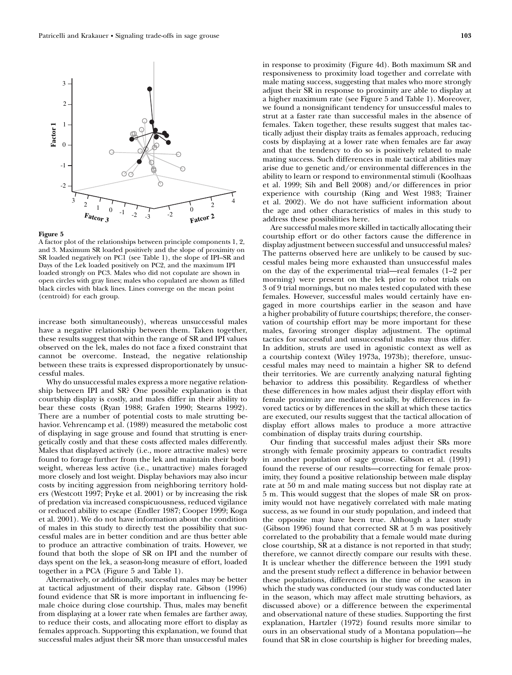

#### Figure 5

A factor plot of the relationships between principle components 1, 2, and 3. Maximum SR loaded positively and the slope of proximity on SR loaded negatively on PC1 (see Table 1), the slope of IPI–SR and Days of the Lek loaded positively on PC2, and the maximum IPI loaded strongly on PC3. Males who did not copulate are shown in open circles with gray lines; males who copulated are shown as filled black circles with black lines. Lines converge on the mean point (centroid) for each group.

increase both simultaneously), whereas unsuccessful males have a negative relationship between them. Taken together, these results suggest that within the range of SR and IPI values observed on the lek, males do not face a fixed constraint that cannot be overcome. Instead, the negative relationship between these traits is expressed disproportionately by unsuccessful males.

Why do unsuccessful males express a more negative relationship between IPI and SR? One possible explanation is that courtship display is costly, and males differ in their ability to bear these costs (Ryan 1988; Grafen 1990; Stearns 1992). There are a number of potential costs to male strutting behavior. Vehrencamp et al. (1989) measured the metabolic cost of displaying in sage grouse and found that strutting is energetically costly and that these costs affected males differently. Males that displayed actively (i.e., more attractive males) were found to forage further from the lek and maintain their body weight, whereas less active (i.e., unattractive) males foraged more closely and lost weight. Display behaviors may also incur costs by inciting aggression from neighboring territory holders (Westcott 1997; Pryke et al. 2001) or by increasing the risk of predation via increased conspicuousness, reduced vigilance or reduced ability to escape (Endler 1987; Cooper 1999; Koga et al. 2001). We do not have information about the condition of males in this study to directly test the possibility that successful males are in better condition and are thus better able to produce an attractive combination of traits. However, we found that both the slope of SR on IPI and the number of days spent on the lek, a season-long measure of effort, loaded together in a PCA (Figure 5 and Table 1).

Alternatively, or additionally, successful males may be better at tactical adjustment of their display rate. Gibson (1996) found evidence that SR is more important in influencing female choice during close courtship. Thus, males may benefit from displaying at a lower rate when females are farther away, to reduce their costs, and allocating more effort to display as females approach. Supporting this explanation, we found that successful males adjust their SR more than unsuccessful males in response to proximity (Figure 4d). Both maximum SR and responsiveness to proximity load together and correlate with male mating success, suggesting that males who more strongly adjust their SR in response to proximity are able to display at a higher maximum rate (see Figure 5 and Table 1). Moreover, we found a nonsignificant tendency for unsuccessful males to strut at a faster rate than successful males in the absence of females. Taken together, these results suggest that males tactically adjust their display traits as females approach, reducing costs by displaying at a lower rate when females are far away and that the tendency to do so is positively related to male mating success. Such differences in male tactical abilities may arise due to genetic and/or environmental differences in the ability to learn or respond to environmental stimuli (Koolhaas et al. 1999; Sih and Bell 2008) and/or differences in prior experience with courtship (King and West 1983; Trainer et al. 2002). We do not have sufficient information about the age and other characteristics of males in this study to address these possibilities here.

Are successful males more skilled in tactically allocating their courtship effort or do other factors cause the difference in display adjustment between successful and unsuccessful males? The patterns observed here are unlikely to be caused by successful males being more exhausted than unsuccessful males on the day of the experimental trial—real females (1–2 per morning) were present on the lek prior to robot trials on 3 of 9 trial mornings, but no males tested copulated with these females. However, successful males would certainly have engaged in more courtships earlier in the season and have a higher probability of future courtships; therefore, the conservation of courtship effort may be more important for these males, favoring stronger display adjustment. The optimal tactics for successful and unsuccessful males may thus differ. In addition, struts are used in agonistic context as well as a courtship context (Wiley 1973a, 1973b); therefore, unsuccessful males may need to maintain a higher SR to defend their territories. We are currently analyzing natural fighting behavior to address this possibility. Regardless of whether these differences in how males adjust their display effort with female proximity are mediated socially, by differences in favored tactics or by differences in the skill at which these tactics are executed, our results suggest that the tactical allocation of display effort allows males to produce a more attractive combination of display traits during courtship.

Our finding that successful males adjust their SRs more strongly with female proximity appears to contradict results in another population of sage grouse. Gibson et al. (1991) found the reverse of our results—correcting for female proximity, they found a positive relationship between male display rate at 50 m and male mating success but not display rate at 5 m. This would suggest that the slopes of male SR on proximity would not have negatively correlated with male mating success, as we found in our study population, and indeed that the opposite may have been true. Although a later study (Gibson 1996) found that corrected SR at 5 m was positively correlated to the probability that a female would mate during close courtship, SR at a distance is not reported in that study; therefore, we cannot directly compare our results with these. It is unclear whether the difference between the 1991 study and the present study reflect a difference in behavior between these populations, differences in the time of the season in which the study was conducted (our study was conducted later in the season, which may affect male strutting behaviors, as discussed above) or a difference between the experimental and observational nature of these studies. Supporting the first explanation, Hartzler (1972) found results more similar to ours in an observational study of a Montana population—he found that SR in close courtship is higher for breeding males,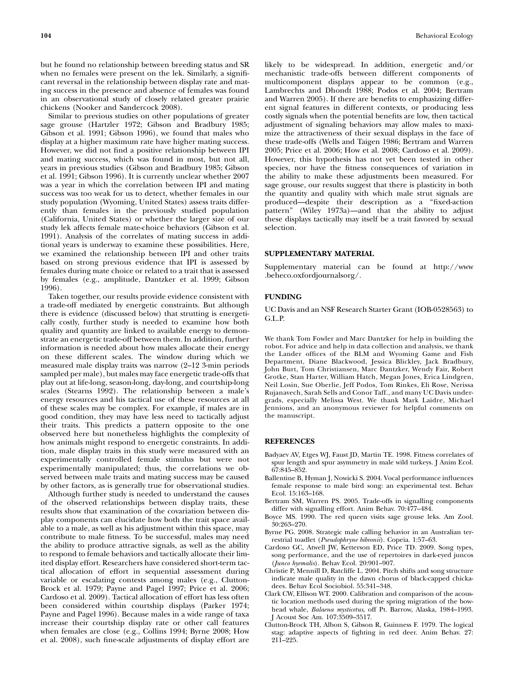but he found no relationship between breeding status and SR when no females were present on the lek. Similarly, a significant reversal in the relationship between display rate and mating success in the presence and absence of females was found in an observational study of closely related greater prairie chickens (Nooker and Sandercock 2008).

Similar to previous studies on other populations of greater sage grouse (Hartzler 1972; Gibson and Bradbury 1985; Gibson et al. 1991; Gibson 1996), we found that males who display at a higher maximum rate have higher mating success. However, we did not find a positive relationship between IPI and mating success, which was found in most, but not all, years in previous studies (Gibson and Bradbury 1985; Gibson et al. 1991; Gibson 1996). It is currently unclear whether 2007 was a year in which the correlation between IPI and mating success was too weak for us to detect, whether females in our study population (Wyoming, United States) assess traits differently than females in the previously studied population (California, United States) or whether the larger size of our study lek affects female mate-choice behaviors (Gibson et al. 1991). Analysis of the correlates of mating success in additional years is underway to examine these possibilities. Here, we examined the relationship between IPI and other traits based on strong previous evidence that IPI is assessed by females during mate choice or related to a trait that is assessed by females (e.g., amplitude, Dantzker et al. 1999; Gibson 1996).

Taken together, our results provide evidence consistent with a trade-off mediated by energetic constraints. But although there is evidence (discussed below) that strutting is energetically costly, further study is needed to examine how both quality and quantity are linked to available energy to demonstrate an energetic trade-off between them. In addition, further information is needed about how males allocate their energy on these different scales. The window during which we measured male display traits was narrow (2–12 3-min periods sampled per male), but males may face energetic trade-offs that play out at life-long, season-long, day-long, and courtship-long scales (Stearns 1992). The relationship between a male's energy resources and his tactical use of these resources at all of these scales may be complex. For example, if males are in good condition, they may have less need to tactically adjust their traits. This predicts a pattern opposite to the one observed here but nonetheless highlights the complexity of how animals might respond to energetic constraints. In addition, male display traits in this study were measured with an experimentally controlled female stimulus but were not experimentally manipulated; thus, the correlations we observed between male traits and mating success may be caused by other factors, as is generally true for observational studies.

Although further study is needed to understand the causes of the observed relationships between display traits, these results show that examination of the covariation between display components can elucidate how both the trait space available to a male, as well as his adjustment within this space, may contribute to male fitness. To be successful, males may need the ability to produce attractive signals, as well as the ability to respond to female behaviors and tactically allocate their limited display effort. Researchers have considered short-term tactical allocation of effort in sequential assessment during variable or escalating contests among males (e.g., Clutton-Brock et al. 1979; Payne and Pagel 1997; Price et al. 2006; Cardoso et al. 2009). Tactical allocation of effort has less often been considered within courtship displays (Parker 1974; Payne and Pagel 1996). Because males in a wide range of taxa increase their courtship display rate or other call features when females are close (e.g., Collins 1994; Byrne 2008; How et al. 2008), such fine-scale adjustments of display effort are

likely to be widespread. In addition, energetic and/or mechanistic trade-offs between different components of multicomponent displays appear to be common (e.g., Lambrechts and Dhondt 1988; Podos et al. 2004; Bertram and Warren 2005). If there are benefits to emphasizing different signal features in different contexts, or producing less costly signals when the potential benefits are low, then tactical adjustment of signaling behaviors may allow males to maximize the attractiveness of their sexual displays in the face of these trade-offs (Wells and Taigen 1986; Bertram and Warren 2005; Price et al. 2006; How et al. 2008; Cardoso et al. 2009). However, this hypothesis has not yet been tested in other species, nor have the fitness consequences of variation in the ability to make these adjustments been measured. For sage grouse, our results suggest that there is plasticity in both the quantity and quality with which male strut signals are produced—despite their description as a ''fixed-action pattern'' (Wiley 1973a)—and that the ability to adjust these displays tactically may itself be a trait favored by sexual selection.

#### SUPPLEMENTARY MATERIAL

Supplementary material can be found at [http://www](http://www.beheco.oxfordjournals.org/) [.beheco.oxfordjournalsorg/.](http://www.beheco.oxfordjournals.org/)

## FUNDING

UC Davis and an NSF Research Starter Grant (IOB-0528563) to G.L.P.

We thank Tom Fowler and Marc Dantzker for help in building the robot. For advice and help in data collection and analysis, we thank the Lander offices of the BLM and Wyoming Game and Fish Department, Diane Blackwood, Jessica Blickley, Jack Bradbury, John Burt, Tom Christiansen, Marc Dantzker, Wendy Fair, Robert Grotke, Stan Harter, William Hatch, Megan Jones, Erica Lindgren, Neil Losin, Sue Oberlie, Jeff Podos, Tom Rinkes, Eli Rose, Nerissa Rujanavech, Sarah Sells and Conor Taff., and many UC Davis undergrads, especially Melissa West. We thank Mark Laidre, Michael Jennions, and an anonymous reviewer for helpful comments on the manuscript.

### **REFERENCES**

- Badyaev AV, Etges WJ, Faust JD, Martin TE. 1998. Fitness correlates of spur length and spur asymmetry in male wild turkeys. J Anim Ecol. 67:845–852.
- Ballentine B, Hyman J, Nowicki S. 2004. Vocal performance influences female response to male bird song: an experimental test. Behav Ecol. 15:163–168.
- Bertram SM, Warren PS. 2005. Trade-offs in signalling components differ with signalling effort. Anim Behav. 70:477–484.
- Boyce MS. 1990. The red queen visits sage grouse leks. Am Zool. 30:263–270.
- Byrne PG. 2008. Strategic male calling behavior in an Australian terrestrial toadlet (Pseudophryne bibronii). Copeia. 1:57–63.
- Cardoso GC, Atwell JW, Ketterson ED, Price TD. 2009. Song types, song performance, and the use of repertoires in dark-eyed juncos (Junco hyemalis). Behav Ecol. 20:901–907.
- Christie P, Mennill D, Ratcliffe L. 2004. Pitch shifts and song structure indicate male quality in the dawn chorus of black-capped chickadees. Behav Ecol Sociobiol. 55:341–348.
- Clark CW, Ellison WT. 2000. Calibration and comparison of the acoustic location methods used during the spring migration of the bowhead whale, Balaena mysticetus, off Pt. Barrow, Alaska, 1984–1993. J Acoust Soc Am. 107:3509–3517.
- Clutton-Brock TH, Albon S, Gibson R, Guinness F. 1979. The logical stag: adaptive aspects of fighting in red deer. Anim Behav. 27: 211–225.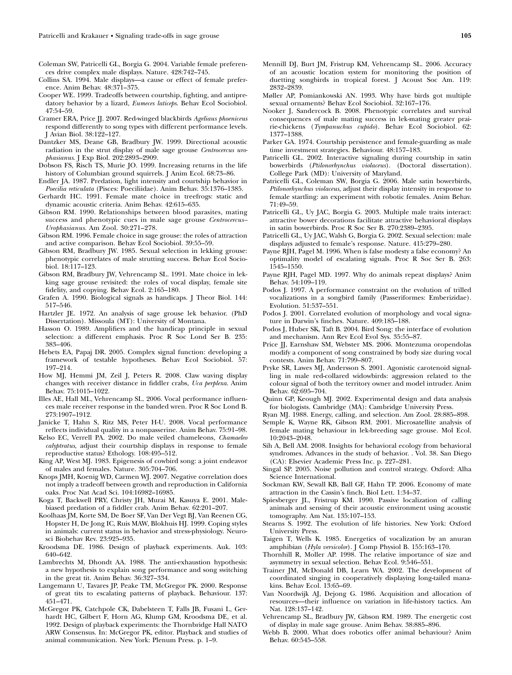- Coleman SW, Patricelli GL, Borgia G. 2004. Variable female preferences drive complex male displays. Nature. 428:742–745.
- Collins SA. 1994. Male displays—a cause or effect of female preference. Anim Behav. 48:371–375.
- Cooper WE. 1999. Tradeoffs between courtship, fighting, and antipredatory behavior by a lizard, Eumeces laticeps. Behav Ecol Sociobiol. 47:54–59.
- Cramer ERA, Price JJ. 2007. Red-winged blackbirds Ageliaus phoeniceus respond differently to song types with different performance levels. J Avian Biol. 38:122–127.
- Dantzker MS, Deane GB, Bradbury JW. 1999. Directional acoustic radiation in the strut display of male sage grouse Centrocercus urophasianus. J Exp Biol. 202:2893–2909.
- Dobson FS, Risch TS, Murie JO. 1999. Increasing returns in the life history of Columbian ground squirrels. J Anim Ecol. 68:73-86.
- Endler JA. 1987. Predation, light intensity and courtship behavior in Poecilia reticulata (Pisces: Poeciliidae). Anim Behav. 35:1376–1385.
- Gerhardt HC. 1991. Female mate choice in treefrogs: static and dynamic acoustic criteria. Anim Behav. 42:615–635.
- Gibson RM. 1990. Relationships between blood parasites, mating success and phenotypic cues in male sage grouse Centrocercus-Urophasianus. Am Zool. 30:271–278.
- Gibson RM. 1996. Female choice in sage grouse: the roles of attraction and active comparison. Behav Ecol Sociobiol. 39:55–59.
- Gibson RM, Bradbury JW. 1985. Sexual selection in lekking grouse: phenotypic correlates of male strutting success. Behav Ecol Sociobiol. 18:117–123.
- Gibson RM, Bradbury JW, Vehrencamp SL. 1991. Mate choice in lekking sage grouse revisited: the roles of vocal display, female site fidelity, and copying. Behav Ecol. 2:165–180.
- Grafen A. 1990. Biological signals as handicaps. J Theor Biol. 144: 517–546.
- Hartzler JE. 1972. An analysis of sage grouse lek behavior. (PhD Dissertation). Missoula (MT): University of Montana.
- Hasson O. 1989. Amplifiers and the handicap principle in sexual selection: a different emphasis. Proc R Soc Lond Ser B. 235: 383–406.
- Hebets EA, Papaj DR. 2005. Complex signal function: developing a framework of testable hypotheses. Behav Ecol Sociobiol. 57: 197–214.
- How MJ, Hemmi JM, Zeil J, Peters R. 2008. Claw waving display changes with receiver distance in fiddler crabs, Uca perplexa. Anim Behav. 75:1015–1022.
- Illes AE, Hall ML, Vehrencamp SL. 2006. Vocal performance influences male receiver response in the banded wren. Proc R Soc Lond B. 273:1907–1912.
- Janicke T, Hahn S, Ritz MS, Peter H-U. 2008. Vocal performance reflects individual quality in a nonpasserine. Anim Behav. 75:91–98.
- Kelso EC, Verrell PA. 2002. Do male veiled chameleons, Chamaeleo calyptratus, adjust their courtship displays in response to female reproductive status? Ethology. 108:495–512.
- King AP, West MJ. 1983. Epigenesis of cowbird song: a joint endeavor of males and females. Nature. 305:704–706.
- Knops JMH, Koenig WD, Carmen WJ. 2007. Negative correlation does not imply a tradeoff between growth and reproduction in California oaks. Proc Nat Acad Sci. 104:16982–16985.
- Koga T, Backwell PRY, Christy JH, Murai M, Kasuya E. 2001. Malebiased predation of a fiddler crab. Anim Behav. 62:201–207.
- Koolhaas JM, Korte SM, De Boer SF, Van Der Vegt BJ, Van Reenen CG, Hopster H, De Jong IC, Ruis MAW, Blokhuis HJ. 1999. Coping styles in animals: current status in behavior and stress-physiology. Neurosci Biobehav Rev. 23:925–935.
- Kroodsma DE. 1986. Design of playback experiments. Auk. 103: 640–642.
- Lambrechts M, Dhondt AA. 1988. The anti-exhaustion hypothesis: a new hypothesis to explain song performance and song switching in the great tit. Anim Behav. 36:327–334.
- Langemann U, Tavares JP, Peake TM, McGregor PK. 2000. Response of great tits to escalating patterns of playback. Behaviour. 137: 451–471.
- McGregor PK, Catchpole CK, Dabelsteen T, Falls JB, Fusani L, Gerhardt HC, Gilbert F, Horn AG, Klump GM, Kroodsma DE, et al. 1992. Design of playback experiments: the Thornbridge Hall NATO ARW Consensus. In: McGregor PK, editor. Playback and studies of animal communication. New York: Plenum Press. p. 1–9.
- Mennill DJ, Burt JM, Fristrup KM, Vehrencamp SL. 2006. Accuracy of an acoustic location system for monitoring the position of duetting songbirds in tropical forest. J Acoust Soc Am. 119: 2832–2839.
- Møller AP, Pomiankowski AN. 1993. Why have birds got multiple sexual ornaments? Behav Ecol Sociobiol. 32:167–176.
- Nooker J, Sandercock B. 2008. Phenotypic correlates and survival consequences of male mating success in lek-mating greater prairie-chickens (Tympanuchus cupido). Behav Ecol Sociobiol. 62: 1377–1388.
- Parker GA. 1974. Courtship persistence and female-guarding as male time investment strategies. Behaviour. 48:157–183.
- Patricelli GL. 2002. Interactive signaling during courtship in satin bowerbirds (Ptilonorhynchus violaceus). (Doctoral dissertation). College Park (MD): University of Maryland.
- Patricelli GL, Coleman SW, Borgia G. 2006. Male satin bowerbirds, Ptilonorhynchus violaceus, adjust their display intensity in response to female startling: an experiment with robotic females. Anim Behav. 71:49–59.
- Patricelli GL, Uy JAC, Borgia G. 2003. Multiple male traits interact: attractive bower decorations facilitate attractive behavioral displays in satin bowerbirds. Proc R Soc Ser B. 270:2389–2395.
- Patricelli GL, Uy JAC, Walsh G, Borgia G. 2002. Sexual selection: male displays adjusted to female's response. Nature. 415:279–280.
- Payne RJH, Pagel M. 1996. When is false modesty a false economy? An optimality model of escalating signals. Proc R Soc Ser B. 263: 1545–1550.
- Payne RJH, Pagel MD. 1997. Why do animals repeat displays? Anim Behav. 54:109–119.
- Podos J. 1997. A performance constraint on the evolution of trilled vocalizations in a songbird family (Passeriformes: Emberizidae). Evolution. 51:537–551.
- Podos J. 2001. Correlated evolution of morphology and vocal signature in Darwin's finches. Nature. 409:185–188.
- Podos J, Huber SK, Taft B. 2004. Bird Song: the interface of evolution and mechanism. Ann Rev Ecol Evol Sys. 35:55–87.
- Price JJ, Earnshaw SM, Webster MS. 2006. Montezuma oropendolas modify a component of song constrained by body size during vocal contests. Anim Behav. 71:799–807.
- Pryke SR, Lawes MJ, Andersson S. 2001. Agonistic carotenoid signalling in male red-collared widowbirds: aggression related to the colour signal of both the territory owner and model intruder. Anim Behav. 62:695–704.
- Quinn GP, Keough MJ. 2002. Experimental design and data analysis for biologists. Cambridge (MA): Cambridge University Press.
- Ryan MJ. 1988. Energy, calling, and selection. Am Zool. 28:885–898.
- Semple K, Wayne RK, Gibson RM. 2001. Microsatellite analysis of female mating behaviour in lek-breeding sage grouse. Mol Ecol. 10:2043–2048.
- Sih A, Bell AM. 2008. Insights for behavioral ecology from behavioral syndromes. Advances in the study of behavior. . Vol. 38. San Diego (CA): Elsevier Academic Press Inc. p. 227–281.
- Singal SP. 2005. Noise pollution and control strategy. Oxford: Alha Science International.
- Sockman KW, Sewall KB, Ball GF, Hahn TP. 2006. Economy of mate attraction in the Cassin's finch. Biol Lett. 1:34–37.
- Spiesberger JL, Fristrup KM. 1990. Passive localization of calling animals and sensing of their acoustic environment using acoustic tomography. Am Nat. 135:107–153.
- Stearns S. 1992. The evolution of life histories. New York: Oxford University Press.
- Taigen T, Wells K. 1985. Energetics of vocalization by an anuran amphibian (Hyla versicolor). J Comp Physiol B. 155:163–170.
- Thornhill R, Moller AP. 1998. The relative importance of size and asymmetry in sexual selection. Behav Ecol. 9:546–551.
- Trainer JM, McDonald DB, Learn WA. 2002. The development of coordinated singing in cooperatively displaying long-tailed manakins. Behav Ecol. 13:65–69.
- Van Noordwijk AJ, Dejong G. 1986. Acquisition and allocation of resources—their influence on variation in life-history tactics. Am Nat. 128:137–142.
- Vehrencamp SL, Bradbury JW, Gibson RM. 1989. The energetic cost of display in male sage grouse. Anim Behav. 38:885–896.
- Webb B. 2000. What does robotics offer animal behaviour? Anim Behav. 60:545–558.